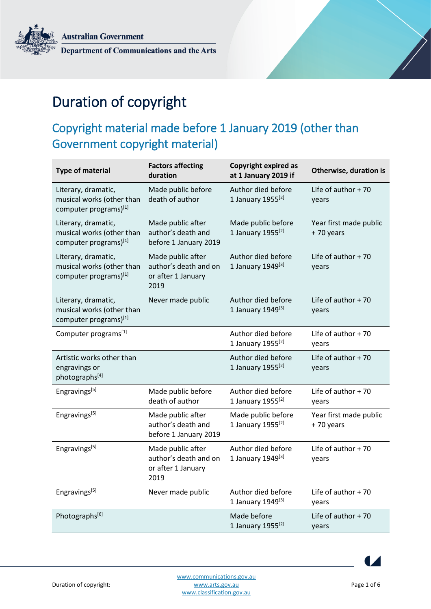**Australian Government** Department of Communications and the Arts



# Duration of copyright

## Copyright material made before 1 January 2019 (other than Government copyright material)

| <b>Type of material</b>                                                   | <b>Factors affecting</b><br>duration                                     | <b>Copyright expired as</b><br>at 1 January 2019 if | Otherwise, duration is              |
|---------------------------------------------------------------------------|--------------------------------------------------------------------------|-----------------------------------------------------|-------------------------------------|
| Literary, dramatic,<br>musical works (other than<br>computer programs)[1] | Made public before<br>death of author                                    | Author died before<br>1 January 1955 <sup>[2]</sup> | Life of author $+70$<br>years       |
| Literary, dramatic,<br>musical works (other than<br>computer programs)[1] | Made public after<br>author's death and<br>before 1 January 2019         | Made public before<br>1 January 1955 <sup>[2]</sup> | Year first made public<br>+70 years |
| Literary, dramatic,<br>musical works (other than<br>computer programs)[1] | Made public after<br>author's death and on<br>or after 1 January<br>2019 | Author died before<br>1 January 1949[3]             | Life of author $+70$<br>years       |
| Literary, dramatic,<br>musical works (other than<br>computer programs)[1] | Never made public                                                        | Author died before<br>1 January 1949[3]             | Life of author $+70$<br>years       |
| Computer programs[1]                                                      |                                                                          | Author died before<br>1 January 1955 <sup>[2]</sup> | Life of author $+70$<br>years       |
| Artistic works other than<br>engravings or<br>photographs[4]              |                                                                          | Author died before<br>1 January 1955 <sup>[2]</sup> | Life of author $+70$<br>years       |
| Engravings[5]                                                             | Made public before<br>death of author                                    | Author died before<br>1 January 1955 <sup>[2]</sup> | Life of author $+70$<br>years       |
| Engravings[5]                                                             | Made public after<br>author's death and<br>before 1 January 2019         | Made public before<br>1 January 1955 <sup>[2]</sup> | Year first made public<br>+70 years |
| Engravings[5]                                                             | Made public after<br>author's death and on<br>or after 1 January<br>2019 | Author died before<br>1 January 1949[3]             | Life of author $+70$<br>years       |
| Engravings <sup>[5]</sup>                                                 | Never made public                                                        | Author died before<br>1 January 1949 <sup>[3]</sup> | Life of author $+70$<br>years       |
| Photographs[6]                                                            |                                                                          | Made before<br>1 January 1955 <sup>[2]</sup>        | Life of author $+70$<br>years       |

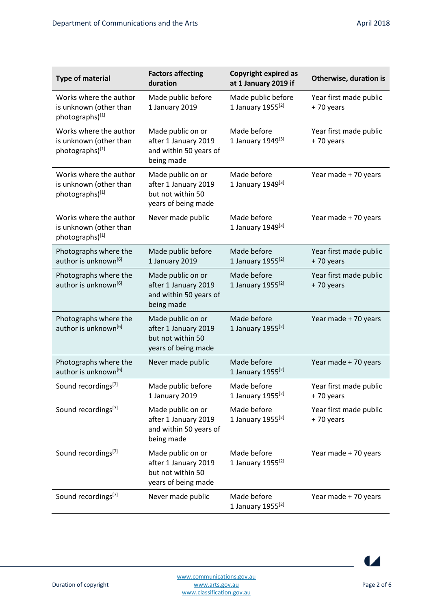| <b>Type of material</b>                                             | <b>Factors affecting</b><br>duration                                                  | <b>Copyright expired as</b><br>at 1 January 2019 if | Otherwise, duration is              |
|---------------------------------------------------------------------|---------------------------------------------------------------------------------------|-----------------------------------------------------|-------------------------------------|
| Works where the author<br>is unknown (other than<br>photographs)[1] | Made public before<br>1 January 2019                                                  | Made public before<br>1 January 1955 <sup>[2]</sup> | Year first made public<br>+70 years |
| Works where the author<br>is unknown (other than<br>photographs)[1] | Made public on or<br>after 1 January 2019<br>and within 50 years of<br>being made     | Made before<br>1 January 1949 <sup>[3]</sup>        | Year first made public<br>+70 years |
| Works where the author<br>is unknown (other than<br>photographs)[1] | Made public on or<br>after 1 January 2019<br>but not within 50<br>years of being made | Made before<br>1 January 1949 <sup>[3]</sup>        | Year made + 70 years                |
| Works where the author<br>is unknown (other than<br>photographs)[1] | Never made public                                                                     | Made before<br>1 January 1949 <sup>[3]</sup>        | Year made + 70 years                |
| Photographs where the<br>author is unknown <sup>[6]</sup>           | Made public before<br>1 January 2019                                                  | Made before<br>1 January 1955 <sup>[2]</sup>        | Year first made public<br>+70 years |
| Photographs where the<br>author is unknown <sup>[6]</sup>           | Made public on or<br>after 1 January 2019<br>and within 50 years of<br>being made     | Made before<br>1 January 1955 <sup>[2]</sup>        | Year first made public<br>+70 years |
| Photographs where the<br>author is unknown <sup>[6]</sup>           | Made public on or<br>after 1 January 2019<br>but not within 50<br>years of being made | Made before<br>1 January 1955 <sup>[2]</sup>        | Year made + 70 years                |
| Photographs where the<br>author is unknown <sup>[6]</sup>           | Never made public                                                                     | Made before<br>1 January 1955 <sup>[2]</sup>        | Year made + 70 years                |
| Sound recordings[7]                                                 | Made public before<br>1 January 2019                                                  | Made before<br>1 January 1955 <sup>[2]</sup>        | Year first made public<br>+70 years |
| Sound recordings <sup>[7]</sup>                                     | Made public on or<br>after 1 January 2019<br>and within 50 years of<br>being made     | Made before<br>1 January $1955^{[2]}$               | Year first made public<br>+70 years |
| Sound recordings <sup>[7]</sup>                                     | Made public on or<br>after 1 January 2019<br>but not within 50<br>years of being made | Made before<br>1 January 1955 <sup>[2]</sup>        | Year made + 70 years                |
| Sound recordings[7]                                                 | Never made public                                                                     | Made before<br>1 January 1955 <sup>[2]</sup>        | Year made + 70 years                |

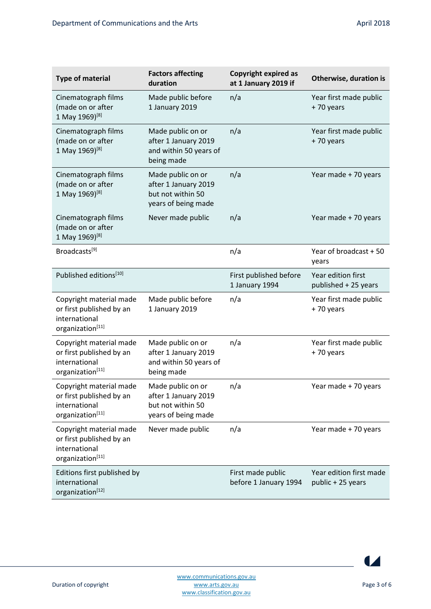| <b>Type of material</b>                                                                  | <b>Factors affecting</b><br>duration                                                  | <b>Copyright expired as</b><br>at 1 January 2019 if | Otherwise, duration is                       |
|------------------------------------------------------------------------------------------|---------------------------------------------------------------------------------------|-----------------------------------------------------|----------------------------------------------|
| Cinematograph films<br>(made on or after<br>1 May 1969) <sup>[8]</sup>                   | Made public before<br>1 January 2019                                                  | n/a                                                 | Year first made public<br>+70 years          |
| Cinematograph films<br>(made on or after<br>1 May 1969) <sup>[8]</sup>                   | Made public on or<br>after 1 January 2019<br>and within 50 years of<br>being made     | n/a                                                 | Year first made public<br>+70 years          |
| Cinematograph films<br>(made on or after<br>1 May 1969) <sup>[8]</sup>                   | Made public on or<br>after 1 January 2019<br>but not within 50<br>years of being made | n/a                                                 | Year made + 70 years                         |
| Cinematograph films<br>(made on or after<br>1 May 1969)[8]                               | Never made public                                                                     | n/a                                                 | Year made + 70 years                         |
| Broadcasts[9]                                                                            |                                                                                       | n/a                                                 | Year of broadcast + 50<br>years              |
| Published editions <sup>[10]</sup>                                                       |                                                                                       | First published before<br>1 January 1994            | Year edition first<br>published + 25 years   |
| Copyright material made<br>or first published by an<br>international<br>organization[11] | Made public before<br>1 January 2019                                                  | n/a                                                 | Year first made public<br>+70 years          |
| Copyright material made<br>or first published by an<br>international<br>organization[11] | Made public on or<br>after 1 January 2019<br>and within 50 years of<br>being made     | n/a                                                 | Year first made public<br>+70 years          |
| Copyright material made<br>or first published by an<br>international<br>organization[11] | Made public on or<br>after 1 January 2019<br>but not within 50<br>years of being made | n/a                                                 | Year made + 70 years                         |
| Copyright material made<br>or first published by an<br>international<br>organization[11] | Never made public                                                                     | n/a                                                 | Year made + 70 years                         |
| Editions first published by<br>international<br>organization[12]                         |                                                                                       | First made public<br>before 1 January 1994          | Year edition first made<br>public + 25 years |

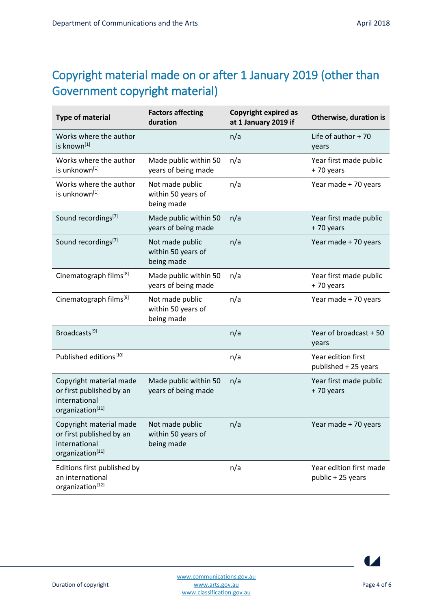## Copyright material made on or after 1 January 2019 (other than Government copyright material)

| <b>Type of material</b>                                                                  | <b>Factors affecting</b><br>duration                | <b>Copyright expired as</b><br>at 1 January 2019 if | Otherwise, duration is                       |
|------------------------------------------------------------------------------------------|-----------------------------------------------------|-----------------------------------------------------|----------------------------------------------|
| Works where the author<br>is known[1]                                                    |                                                     | n/a                                                 | Life of author $+70$<br>years                |
| Works where the author<br>is unknown[1]                                                  | Made public within 50<br>years of being made        | n/a                                                 | Year first made public<br>+70 years          |
| Works where the author<br>is unknown[1]                                                  | Not made public<br>within 50 years of<br>being made | n/a                                                 | Year made + 70 years                         |
| Sound recordings[7]                                                                      | Made public within 50<br>years of being made        | n/a                                                 | Year first made public<br>+70 years          |
| Sound recordings <sup>[7]</sup>                                                          | Not made public<br>within 50 years of<br>being made | n/a                                                 | Year made + 70 years                         |
| Cinematograph films <sup>[8]</sup>                                                       | Made public within 50<br>years of being made        | n/a                                                 | Year first made public<br>+70 years          |
| Cinematograph films <sup>[8]</sup>                                                       | Not made public<br>within 50 years of<br>being made | n/a                                                 | Year made + 70 years                         |
| Broadcasts <sup>[9]</sup>                                                                |                                                     | n/a                                                 | Year of broadcast + 50<br>years              |
| Published editions <sup>[10]</sup>                                                       |                                                     | n/a                                                 | Year edition first<br>published + 25 years   |
| Copyright material made<br>or first published by an<br>international<br>organization[11] | Made public within 50<br>years of being made        | n/a                                                 | Year first made public<br>+70 years          |
| Copyright material made<br>or first published by an<br>international<br>organization[11] | Not made public<br>within 50 years of<br>being made | n/a                                                 | Year made + 70 years                         |
| Editions first published by<br>an international<br>organization[12]                      |                                                     | n/a                                                 | Year edition first made<br>public + 25 years |

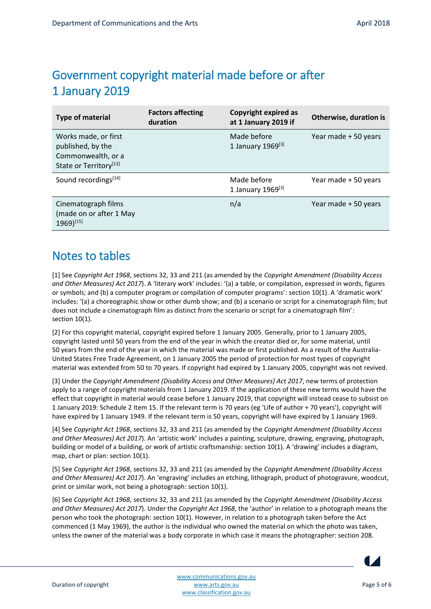#### Government copyright material made before or after 1 January 2019

| <b>Type of material</b>                                                                               | <b>Factors affecting</b><br>duration | Copyright expired as<br>at 1 January 2019 if | Otherwise, duration is |
|-------------------------------------------------------------------------------------------------------|--------------------------------------|----------------------------------------------|------------------------|
| Works made, or first<br>published, by the<br>Commonwealth, or a<br>State or Territory <sup>[13]</sup> |                                      | Made before<br>1 January 1969[3]             | Year made + 50 years   |
| Sound recordings <sup>[14]</sup>                                                                      |                                      | Made before<br>1 January 1969 <sup>[3]</sup> | Year made + 50 years   |
| Cinematograph films<br>(made on or after 1 May<br>$1969$ <sup>[15]</sup>                              |                                      | n/a                                          | Year made + 50 years   |

#### Notes to tables

[1] See *Copyright Act 1968*, sections 32, 33 and 211 (as amended by the *Copyright Amendment (Disability Access and Other Measures) Act 2017*). A 'literary work' includes: '(a) a table, or compilation, expressed in words, figures or symbols; and (b) a computer program or compilation of computer programs': section 10(1). A 'dramatic work' includes: '(a) a choreographic show or other dumb show; and (b) a scenario or script for a cinematograph film; but does not include a cinematograph film as distinct from the scenario or script for a cinematograph film': section 10(1).

[2] For this copyright material, copyright expired before 1 January 2005. Generally, prior to 1 January 2005, copyright lasted until 50 years from the end of the year in which the creator died or, for some material, until 50 years from the end of the year in which the material was made or first published. As a result of the Australia-United States Free Trade Agreement, on 1 January 2005 the period of protection for most types of copyright material was extended from 50 to 70 years. If copyright had expired by 1 January 2005, copyright was not revived.

[3] Under the *Copyright Amendment (Disability Access and Other Measures) Act 2017*, new terms of protection apply to a range of copyright materials from 1 January 2019. If the application of these new terms would have the effect that copyright in material would cease before 1 January 2019, that copyright will instead cease to subsist on 1 January 2019: Schedule 2 Item 15. If the relevant term is 70 years (eg 'Life of author + 70 years'), copyright will have expired by 1 January 1949. If the relevant term is 50 years, copyright will have expired by 1 January 1969.

[4] See *Copyright Act 1968*, sections 32, 33 and 211 (as amended by the *Copyright Amendment (Disability Access and Other Measures) Act 2017*). An 'artistic work' includes a painting, sculpture, drawing, engraving, photograph, building or model of a building, or work of artistic craftsmanship: section 10(1). A 'drawing' includes a diagram, map, chart or plan: section 10(1).

[5] See *Copyright Act 1968*, sections 32, 33 and 211 (as amended by the *Copyright Amendment (Disability Access and Other Measures) Act 2017*). An 'engraving' includes an etching, lithograph, product of photogravure, woodcut, print or similar work, not being a photograph: section 10(1).

[6] See *Copyright Act 1968*, sections 32, 33 and 211 (as amended by the *Copyright Amendment (Disability Access and Other Measures) Act 2017*). Under the *Copyright Act 1968*, the 'author' in relation to a photograph means the person who took the photograph: section 10(1). However, in relation to a photograph taken before the Act commenced (1 May 1969), the author is the individual who owned the material on which the photo was taken, unless the owner of the material was a body corporate in which case it means the photographer: section 208.